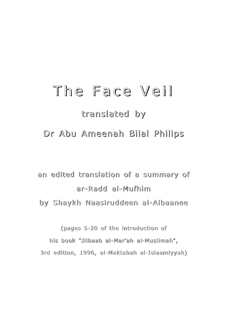# The Face Veil

# translated by

Dr Abu Ameenah Bilal Philips

an edited translation of a summary of ar-Radd ar-Radd al-Mufhim by Shaykh Naasiruddeen al-Albaanee

(pages 5-20 of the introduction of his book "Jilbaab al-Mar'ah al-Muslimah", 3rd edition, 1996, al-Maktabah al-Islaamiyyah)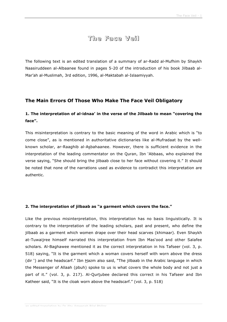# **The Face Veil**

The following text is an edited translation of a summary of ar-Radd al-Mufhim by Shaykh Naasiruddeen al-Albaanee found in pages 5-20 of the introduction of his book Jilbaab al-Mar'ah al-Muslimah, 3rd edition, 1996, al-Maktabah al-Islaamiyyah.

### **The Main Errors Of Those Who Make The Face Veil Obligatory**

# **1. The interpretation of al-idnaa' in the verse of the Jilbaab to mean "covering the face".**

This misinterpretation is contrary to the basic meaning of the word in Arabic which is "to come close", as is mentioned in authoritative dictionaries like al-Mufradaat by the wellknown scholar, ar-Raaghib al-Asbahaanee. However, there is sufficient evidence in the interpretation of the leading commentator on the Quran, Ibn 'Abbaas, who explained the verse saying, "She should bring the jilbaab close to her face without covering it." It should be noted that none of the narrations used as evidence to contradict this interpretation are authentic.

#### **2. The interpretation of jilbaab as "a garment which covers the face."**

Like the previous misinterpretation, this interpretation has no basis linguistically. It is contrary to the interpretation of the leading scholars, past and present, who define the jilbaab as a garment which women drape over their head scarves (khimaar). Even Shaykh at-Tuwaijree himself narrated this interpretation from Ibn Mas'ood and other Salafee scholars. Al-Baghawee mentioned it as the correct interpretation in his Tafseer (vol. 3, p. 518) saying, "It is the garment which a woman covers herself with worn above the dress (dir ') and the headscarf." Ibn  $\underline{H}$ azm also said, "The jilbaab in the Arabic language in which the Messenger of Allaah (pbuh) spoke to us is what covers the whole body and not just a part of it." (vol. 3, p. 217). Al-Qurtubee declared this correct in his Tafseer and Ibn Katheer said, "It is the cloak worn above the headscarf." (vol. 3, p. 518)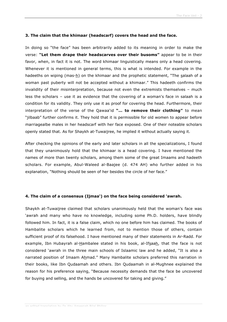#### **3. The claim that the khimaar (headscarf) covers the head and the face.**

In doing so "the face" has been arbitrarily added to its meaning in order to make the verse: **"Let them drape their headscarves over their busoms"** appear to be in their favor, when, in fact it is not. The word khimaar linguistically means only a head covering. Whenever it is mentioned in general terms, this is what is intended. For example in the hadeeths on wiping (mas- $h$ ) on the khimaar and the prophetic statement, "The salaah of a woman past puberty will not be accepted without a khimaar." This hadeeth confirms the invalidity of their misinterpretation, because not even the extremists themselves – much less the scholars – use it as evidence that the covering of a woman's face in salaah is a condition for its validity. They only use it as proof for covering the head. Furthermore, their interpretation of the verse of the Qawaa'id **"… to remove their clothing"** to mean "jilbaab" further confirms it. They hold that it is permissible for old women to appear before marriagealbe males in her headscarf with her face exposed. One of their noteable scholars openly stated that. As for Shaykh at-Tuwaijree, he implied it without actually saying it.

After checking the opinions of the early and later scholars in all the specializations, I found that they unanimously hold that the khimaar is a head covering. I have mentioned the names of more than twenty scholars, among them some of the great Imaams and hadeeth scholars. For example, Abul-Waleed al-Baajee (d. 474 AH) who further added in his explanation, "Nothing should be seen of her besides the circle of her face."

#### **4. The claim of a consensus (Ijmaa') on the face being considered 'awrah.**

Shaykh at-Tuwaijree claimed that scholars unanimously held that the woman's face was 'awrah and many who have no knowledge, including some Ph.D. holders, have blindly followed him. In fact, it is a false claim, which no one before him has claimed. The books of Hambalite scholars which he learned from, not to mention those of others, contain sufficient proof of its falsehood. I have mentioned many of their statements in Ar-Radd. For example, Ibn Hubayrah al-Hambalee stated in his book, al-Ifsaah, that the face is not considered 'awrah in the three main schools of Islaamic law and he added, "It is also a narrated position of Imaam Ahmad." Many Hambalite scholars preferred this narration in their books, like Ibn Qudaamah and others. Ibn Qudaamah in al-Mughnee explained the reason for his preference saying, "Because necessity demands that the face be uncovered for buying and selling, and the hands be uncovered for taking and giving."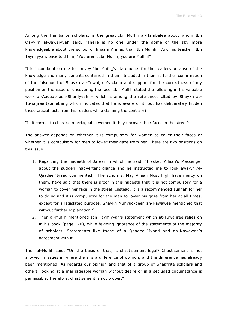Among the Hambalite scholars, is the great Ibn Muflih al-Hambalee about whom Ibn Qayyim al-Jawziyyah said, "There is no one under the dome of the sky more knowledgeable about the school of Imaam Ahmad than Ibn Muflih." And his teacher, Ibn Taymiyyah, once told him, "You aren't Ibn Muflih, you are Muflih!"

It is incumbent on me to convey Ibn Muflih's statements for the readers because of the knowledge and many benefits contained in them. Included in them is further confirmation of the falsehood of Shaykh at-Tuwaijree's claim and support for the correctness of my position on the issue of uncovering the face. Ibn Muflih stated the following in his valuable work al-Aadaab ash-Shar'iyyah – which is among the references cited by Shaykh at-Tuwaijree (something which indicates that he is aware of it, but has deliberately hidden these crucial facts from his readers while claiming the contrary):

"Is it correct to chastise marriageable women if they uncover their faces in the street?

The answer depends on whether it is compulsory for women to cover their faces or whether it is compulsory for men to lower their gaze from her. There are two positions on this issue.

- 1. Regarding the hadeeth of Jareer in which he said, "I asked Allaah's Messenger about the sudden inadvertent glance and he instructed me to look away." Al-Qaadee 'Iyaad commented, "The scholars, May Allaah Most High have mercy on them, have said that there is proof in this hadeeth that it is not compulsory for a woman to cover her face in the street. Instead, it is a recommended sunnah for her to do so and it is compulsory for the man to lower his gaze from her at all times, except for a legislated purpose. Shaykh Muhyud-deen an-Nawawee mentioned that without further explanation."
- 2. Then al-Muflih mentioned Ibn Taymiyyah's statement which at-Tuwaijree relies on in his book (page 170), while feigning ignorance of the statements of the majority of scholars. Statements like those of al-Qaadee 'Iyaad and an-Nawawee's agreement with it.

Then al-Muflih said, "On the basis of that, is chastisement legal? Chastisement is not allowed in issues in where there is a difference of opinion, and the difference has already been mentioned. As regards our opinion and that of a group of Shaafi'ite scholars and others, looking at a marriageable woman without desire or in a secluded circumstance is permissible. Therefore, chastisement is not proper."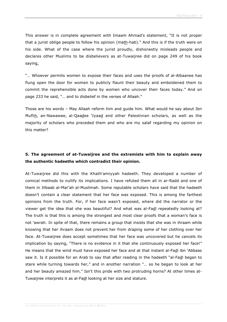This answer is in complete agreement with Imaam Ahmad's statement, "It is not proper that a jurist oblige people to follow his opinion (math-hab)." And this is if the truth were on his side. What of the case where the jurist proudly, dishonestly misleads people and declares other Muslims to be disbelievers as at-Tuwaijree did on page 249 of his book saying,

"… Whoever permits women to expose their faces and uses the proofs of al-Albaanee has flung open the door for women to publicly flaunt their beauty and emboldened them to commit the reprehensible acts done by women who uncover their faces today." And on page 233 he said, "… and to disbelief in the verses of Allaah."

Those are his words – May Allaah reform him and guide him. What would he say about Ibn Muflih, an-Nawawee, al-Qaadee 'Iyaad and other Palestinian scholars, as well as the majority of scholars who preceded them and who are my salaf regarding my opinion on this matter?

## **5. The agreement of at-Tuwaijree and the extremists with him to explain away the authentic hadeeths which contradict their opinion.**

At-Tuwaijree did this with the Khath'amiyyah hadeeth. They developed a number of comical methods to nullify its implications. I have refuted them all in ar-Radd and one of them in Jilbaab al-Mar'ah al-Muslimah. Some reputable scholars have said that the hadeeth doesn't contain a clear statement that her face was exposed. This is among the farthest opinions from the truth. For, if her face wasn't exposed, where did the narrator or the viewer get the idea that she was beautiful? And what was al-Fadl repeatedly looking at? The truth is that this is among the strongest and most clear proofs that a woman's face is not 'awrah. In spite of that, there remains a group that insists that she was in ihraam while knowing that her ihraam does not prevent her from draping some of her clothing over her face. At-Tuwaijree does accept sometimes that her face was uncovered but he cancels its implication by saying, "There is no evidence in it that she continuously exposed her face!" He means that the wind must have exposed her face and at that instant al-Fadl ibn 'Abbaas saw it. Is it possible for an Arab to say that after reading in the hadeeth "al-Fadl began to stare while turning towards her," and in another narration "… so he began to look at her and her beauty amazed him." Isn't this pride with two protruding horns? At other times at-Tuwaijree interprets it as al-Fadl looking at her size and stature.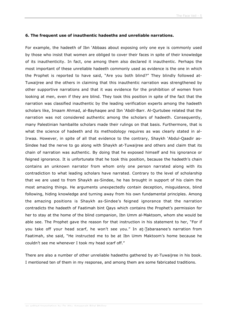#### **6. The frequent use of inauthentic hadeeths and unreliable narrations.**

For example, the hadeeth of Ibn 'Abbaas about exposing only one eye is commonly used by those who insist that women are obliged to cover their faces in spite of their knowledge of its inauthenticity. In fact, one among them also declared it inauthentic. Perhaps the most important of these unreliable hadeeth commonly used as evidence is the one in which the Prophet is reported to have said, "Are you both blind?" They blindly followed at-Tuwaijree and the others in claiming that this inauthentic narration was strengthened by other supportive narrations and that it was evidence for the prohibition of women from looking at men, even if they are blind. They took this position in spite of the fact that the narration was classified inauthentic by the leading verification experts among the hadeeth scholars like, Imaam Ahmad, al-Bayhaqee and Ibn 'Abdil-Barr. Al-Qurtubee related that the narration was not considered authentic among the scholars of hadeeth. Consequently, many Palestinian hambalite scholars made their rulings on that basis. Furthermore, that is what the science of hadeeth and its methodology requires as was clearly stated in al-Irwaa. However, in spite of all that evidence to the contrary, Shaykh 'Abdul-Qaadir as-Sindee had the nerve to go along with Shaykh at-Tuwaijree and others and claim that its chain of narration was authentic. By doing that he exposed himself and his ignorance or feigned ignorance. It is unfortunate that he took this position, because the hadeeth's chain contains an unknown narrator from whom only one person narrated along with its contradiction to what leading scholars have narrated. Contrary to the level of scholarship that we are used to from Shaykh as-Sindee, he has brought in support of his claim the most amazing things. He arguments unexpectedly contain deception, misguidance, blind following, hiding knowledge and turning away from his own fundamental principles. Among the amazing positions is Shaykh as-Sindee's feigned ignorance that the narration contradicts the hadeeth of Faatimah bint Qays which contains the Prophet's permission for her to stay at the home of the blind companion, Ibn Umm al-Maktoom, whom she would be able see. The Prophet gave the reason for that instruction in his statement to her, "For if you take off your head scarf, he won't see you." In at-Tabaraanee's narration from Faatimah, she said, "He instructed me to be at Ibn Umm Maktoom's home because he couldn't see me whenever I took my head scarf off."

There are also a number of other unreliable hadeeths gathered by at-Tuwaijree in his book. I mentioned ten of them in my response, and among them are some fabricated traditions.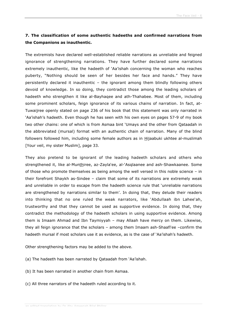# **7. The classification of some authentic hadeeths and confirmed narrations from the Companions as inauthentic.**

The extremists have declared well-established reliable narrations as unreliable and feigned ignorance of strengthening narrations. They have further declared some narrations extremely inauthentic, like the hadeeth of 'Aa'ishah concerning the woman who reaches puberty, "Nothing should be seen of her besides her face and hands." They have persistently declared it inauthentic – the ignorant among them blindly following others devoid of knowledge. In so doing, they contradict those among the leading scholars of hadeeth who strengthen it like al-Bayhaqee and ath-Thahabee. Most of them, including some prominent scholars, feign ignorance of its various chains of narration. In fact, at-Tuwaijree openly stated on page 236 of his book that this statement was only narrated in 'Aa'ishah's hadeeth. Even though he has seen with his own eyes on pages 57-9 of my book two other chains: one of which is from Asmaa bint 'Umays and the other from Qataadah in the abbreviated (mursal) format with an authentic chain of narration. Many of the blind followers followed him, including some female authors as in Hijaabuki ukhtee al-muslimah [Your veil, my sister Muslim], page 33.

They also pretend to be ignorant of the leading hadeeth scholars and others who strengthened it, like al-Munthiree, az-Zayla'ee, al-'Asqlaanee and ash-Shawkaanee. Some of those who promote themselves as being among the well versed in this noble science – in their forefront Shaykh as-Sindee – claim that some of its narrations are extremely weak and unreliable in order to escape from the hadeeth science rule that 'unreliable narrations are strengthened by narrations similar to them'. In doing that, they delude their readers into thinking that no one ruled the weak narrators, like 'Abdullaah ibn Lahee'ah, trustworthy and that they cannot be used as supportive evidence. In doing that, they contradict the methodology of the hadeeth scholars in using supportive evidence. Among them is Imaam Ahmad and Ibn Taymiyyah – may Allaah have mercy on them. Likewise, they all feign ignorance that the scholars – among them Imaam ash-Shaafi'ee –confirm the hadeeth mursal if most scholars use it as evidence, as is the case of 'Aa'ishah's hadeeth.

Other strengthening factors may be added to the above.

- (a) The hadeeth has been narrated by Qataadah from 'Aa'ishah.
- (b) It has been narrated in another chain from Asmaa.
- (c) All three narrators of the hadeeth ruled according to it.

an odited translation by Dr Abu Ameenah Bilal Philips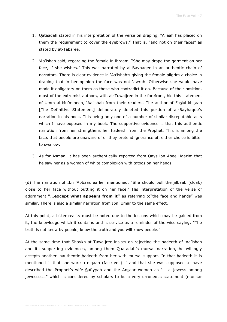- 1. Qataadah stated in his interpretation of the verse on draping, "Allaah has placed on them the requirement to cover the eyebrows," That is, "and not on their faces" as stated by at-Tabaree.
- 2. 'Aa'ishah said, regarding the female in ihraam, "She may drape the garment on her face, if she wishes." This was narrated by al-Bayhaqee in an authentic chain of narrators. There is clear evidence in 'Aa'ishah's giving the female pilgrim a choice in draping that in her opinion the face was not 'awrah. Otherwise she would have made it obligatory on them as those who contradict it do. Because of their position, most of the extremist authors, with at-Tuwaijree in the forefront, hid this statement of Umm al-Mu'mineen, 'Aa'ishah from their readers. The author of Faslul-khitaab [The Definitive Statement] deliberately deleted this portion of al-Bayhaqee's narration in his book. This being only one of a number of similar disreputable acts which I have exposed in my book. The supportive evidence is that this authentic narration from her strengthens her hadeeth from the Prophet. This is among the facts that people are unaware of or they pretend ignorance of, either choice is bitter to swallow.
- 3. As for Asmaa, it has been authentically reported from Qays ibn Abee Haazim that he saw her as a woman of white complexion with tatoos on her hands.

(d) The narration of Ibn 'Abbaas earlier mentioned, "She should pull the jilbaab (cloak) close to her face without putting it on her face." His interpretation of the verse of adornment **"…except what appears from it"** as referring to"the face and hands" was similar. There is also a similar narration from Ibn 'Umar to the same effect.

At this point, a bitter reality must be noted due to the lessons which may be gained from it, the knowledge which it contains and is service as a reminder of the wise saying: "The truth is not know by people, know the truth and you will know people."

At the same time that Shaykh at-Tuwaijree insists on rejecting the hadeeth of 'Aa'ishah and its supporting evidences, among them Qaatadah's mursal narration, he willingly accepts another inauthentic hadeeth from her with mursal support. In that hadeeth it is mentioned "…that she wore a niqaab (face veil)…" and that she was supposed to have described the Prophet's wife Safiyyah and the Ansaar women as "... a jewess among jewesses…" which is considered by scholars to be a very erroneous statement (munkar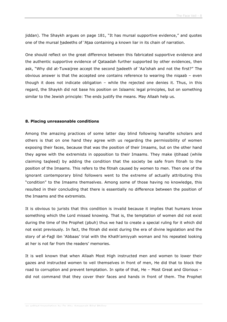jiddan). The Shaykh argues on page 181, "It has mursal supportive evidence," and quotes one of the mursal hadeeths of 'Ataa containing a known liar in its chain of narration.

One should reflect on the great difference between this fabricated supportive evidence and the authentic supportive evidence of Qataadah further supported by other evidences, then ask, "Why did at-Tuwaijree accept the second hadeeth of 'Aa'ishah and not the first?" The obvious answer is that the accepted one contains reference to wearing the niqaab – even though it does not indicate obligation – while the rejected one denies it. Thus, in this regard, the Shaykh did not base his position on Islaamic legal principles, but on something similar to the Jewish principle: The ends justify the means. May Allaah help us.

#### **8. Placing unreasonable conditions**

Among the amazing practices of some latter day blind following hanafite scholars and others is that on one hand they agree with us regarding the permissibility of women exposing their faces, because that was the position of their Imaams, but on the other hand they agree with the extremists in opposition to their Imaams. They make ijtihaad (while claiming taqleed) by adding the condition that the society be safe from fitnah to the position of the Imaams. This refers to the fitnah caused by women to men. Then one of the ignorant contemporary blind followers went to the extreme of actually attributing this "condition" to the Imaams themselves. Among some of those having no knowledge, this resulted in their concluding that there is essentially no difference between the position of the Imaams and the extremists.

It is obvious to jurists that this condition is invalid because it implies that humans know something which the Lord missed knowing. That is, the temptation of women did not exist during the time of the Prophet (pbuh) thus we had to create a special ruling for it which did not exist previously. In fact, the fitnah did exist during the era of divine legislation and the story of al-Fadl ibn 'Abbaas' trial with the Khath'amiyyah woman and his repeated looking at her is not far from the readers' memories.

It is well known that when Allaah Most High instructed men and women to lower their gazes and instructed women to veil themselves in front of men, He did that to block the road to corruption and prevent temptation. In spite of that, He – Most Great and Glorious – did not command that they cover their faces and hands in front of them. The Prophet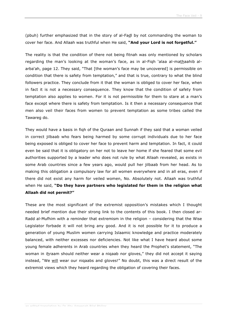(pbuh) further emphasized that in the story of al-Fadl by not commanding the woman to cover her face. And Allaah was truthful when He said, **"And your Lord is not forgetful."**

The reality is that the condition of there not being fitnah was only mentioned by scholars regarding the man's looking at the woman's face, as in al-Fiqh 'alaa al-mathaahib alarba'ah, page 12. They said, "That [the woman's face may be uncovered] is permissible on condition that there is safety from temptation," and that is true, contrary to what the blind followers practice. They conclude from it that the woman is obliged to cover her face, when in fact it is not a necessary consequence. They know that the condition of safety from temptation also applies to women. For it is not permissible for them to stare at a man's face except where there is safety from temptation. Is it then a necessary consequence that men also veil their faces from women to prevent temptation as some tribes called the Tawareg do.

They would have a basis in fiqh of the Quraan and Sunnah if they said that a woman veiled in correct jilbaab who fears being harmed by some corrupt individuals due to her face being exposed is obliged to cover her face to prevent harm and temptation. In fact, it could even be said that it is obligatory on her not to leave her home if she feared that some evil authorities supported by a leader who does not rule by what Allaah revealed, as exists in some Arab countries since a few years ago, would pull her jilbaab from her head. As to making this obligation a compulsory law for all women everywhere and in all eras, even if there did not exist any harm for veiled women, No. Absolutely not. Allaah was truthful when He said, **"Do they have partners who legislated for them in the religion what Allaah did not permit?"**

These are the most significant of the extremist opposition's mistakes which I thought needed brief mention due their strong link to the contents of this book. I then closed ar-Radd al-Mufhim with a reminder that extremism in the religion – considering that the Wise Legislator forbade it will not bring any good. And it is not possible for it to produce a generation of young Muslim women carrying Islaamic knowledge and practice moderately balanced, with neither excesses nor deficiencies. Not like what I have heard about some young female adherents in Arab countries when they heard the Prophet's statement, "The woman in ihraam should neither wear a niqaab nor gloves," they did not accept it saying instead, "We will wear our niqaabs and gloves!" No doubt, this was a direct result of the extremist views which they heard regarding the obligation of covering their faces.